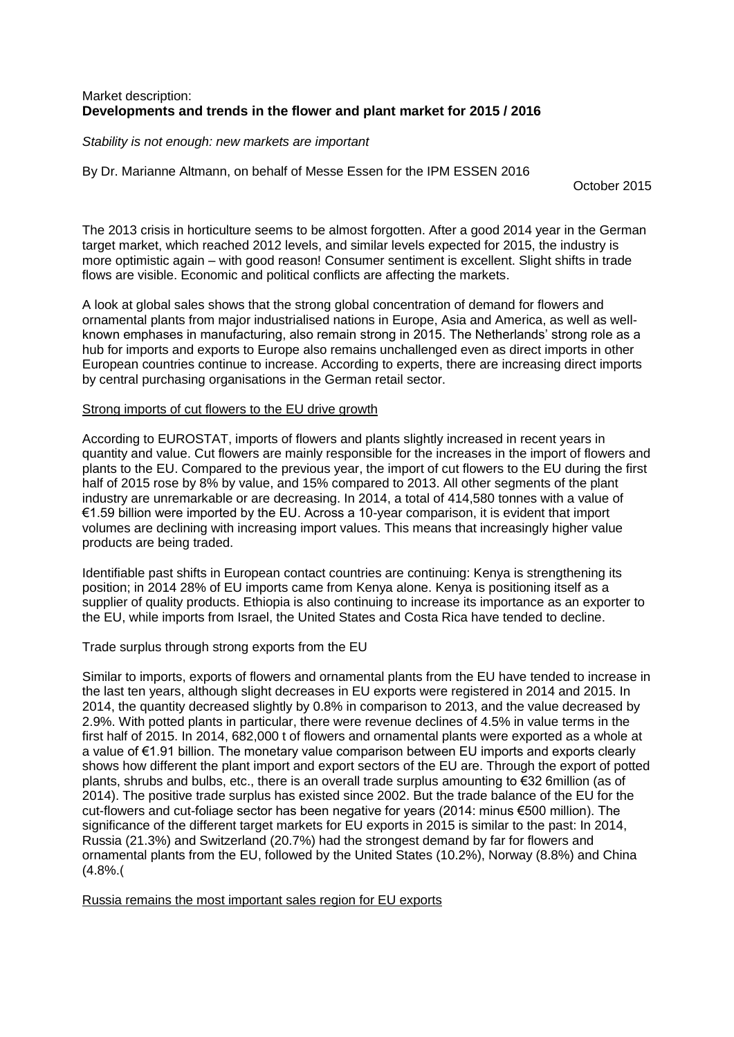# Market description: **Developments and trends in the flower and plant market for 2015 / 2016**

*Stability is not enough: new markets are important*

By Dr. Marianne Altmann, on behalf of Messe Essen for the IPM ESSEN 2016

October 2015

The 2013 crisis in horticulture seems to be almost forgotten. After a good 2014 year in the German target market, which reached 2012 levels, and similar levels expected for 2015, the industry is more optimistic again – with good reason! Consumer sentiment is excellent. Slight shifts in trade flows are visible. Economic and political conflicts are affecting the markets.

A look at global sales shows that the strong global concentration of demand for flowers and ornamental plants from major industrialised nations in Europe, Asia and America, as well as wellknown emphases in manufacturing, also remain strong in 2015. The Netherlands' strong role as a hub for imports and exports to Europe also remains unchallenged even as direct imports in other European countries continue to increase. According to experts, there are increasing direct imports by central purchasing organisations in the German retail sector.

# Strong imports of cut flowers to the EU drive growth

According to EUROSTAT, imports of flowers and plants slightly increased in recent years in quantity and value. Cut flowers are mainly responsible for the increases in the import of flowers and plants to the EU. Compared to the previous year, the import of cut flowers to the EU during the first half of 2015 rose by 8% by value, and 15% compared to 2013. All other segments of the plant industry are unremarkable or are decreasing. In 2014, a total of 414,580 tonnes with a value of €1.59 billion were imported by the EU. Across a 10-year comparison, it is evident that import volumes are declining with increasing import values. This means that increasingly higher value products are being traded.

Identifiable past shifts in European contact countries are continuing: Kenya is strengthening its position; in 2014 28% of EU imports came from Kenya alone. Kenya is positioning itself as a supplier of quality products. Ethiopia is also continuing to increase its importance as an exporter to the EU, while imports from Israel, the United States and Costa Rica have tended to decline.

Trade surplus through strong exports from the EU

Similar to imports, exports of flowers and ornamental plants from the EU have tended to increase in the last ten years, although slight decreases in EU exports were registered in 2014 and 2015. In 2014, the quantity decreased slightly by 0.8% in comparison to 2013, and the value decreased by 2.9%. With potted plants in particular, there were revenue declines of 4.5% in value terms in the first half of 2015. In 2014, 682,000 t of flowers and ornamental plants were exported as a whole at a value of €1.91 billion. The monetary value comparison between EU imports and exports clearly shows how different the plant import and export sectors of the EU are. Through the export of potted plants, shrubs and bulbs, etc., there is an overall trade surplus amounting to €32 6million (as of 2014). The positive trade surplus has existed since 2002. But the trade balance of the EU for the cut-flowers and cut-foliage sector has been negative for years (2014: minus €500 million). The significance of the different target markets for EU exports in 2015 is similar to the past: In 2014, Russia (21.3%) and Switzerland (20.7%) had the strongest demand by far for flowers and ornamental plants from the EU, followed by the United States (10.2%), Norway (8.8%) and China  $(4.8%$ 

Russia remains the most important sales region for EU exports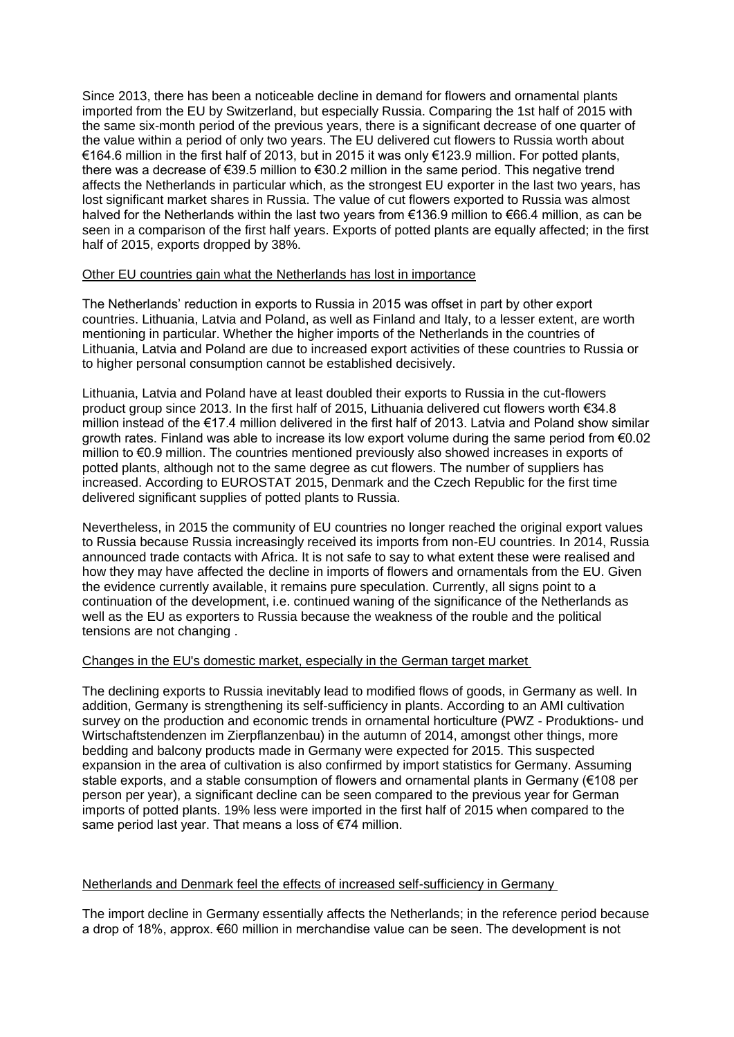Since 2013, there has been a noticeable decline in demand for flowers and ornamental plants imported from the EU by Switzerland, but especially Russia. Comparing the 1st half of 2015 with the same six-month period of the previous years, there is a significant decrease of one quarter of the value within a period of only two years. The EU delivered cut flowers to Russia worth about €164.6 million in the first half of 2013, but in 2015 it was only €123.9 million. For potted plants, there was a decrease of €39.5 million to €30.2 million in the same period. This negative trend affects the Netherlands in particular which, as the strongest EU exporter in the last two years, has lost significant market shares in Russia. The value of cut flowers exported to Russia was almost halved for the Netherlands within the last two years from €136.9 million to €66.4 million, as can be seen in a comparison of the first half years. Exports of potted plants are equally affected; in the first half of 2015, exports dropped by 38%.

### Other EU countries gain what the Netherlands has lost in importance

The Netherlands' reduction in exports to Russia in 2015 was offset in part by other export countries. Lithuania, Latvia and Poland, as well as Finland and Italy, to a lesser extent, are worth mentioning in particular. Whether the higher imports of the Netherlands in the countries of Lithuania, Latvia and Poland are due to increased export activities of these countries to Russia or to higher personal consumption cannot be established decisively.

Lithuania, Latvia and Poland have at least doubled their exports to Russia in the cut-flowers product group since 2013. In the first half of 2015, Lithuania delivered cut flowers worth €34.8 million instead of the €17.4 million delivered in the first half of 2013. Latvia and Poland show similar growth rates. Finland was able to increase its low export volume during the same period from €0.02 million to €0.9 million. The countries mentioned previously also showed increases in exports of potted plants, although not to the same degree as cut flowers. The number of suppliers has increased. According to EUROSTAT 2015, Denmark and the Czech Republic for the first time delivered significant supplies of potted plants to Russia.

Nevertheless, in 2015 the community of EU countries no longer reached the original export values to Russia because Russia increasingly received its imports from non-EU countries. In 2014, Russia announced trade contacts with Africa. It is not safe to say to what extent these were realised and how they may have affected the decline in imports of flowers and ornamentals from the EU. Given the evidence currently available, it remains pure speculation. Currently, all signs point to a continuation of the development, i.e. continued waning of the significance of the Netherlands as well as the EU as exporters to Russia because the weakness of the rouble and the political tensions are not changing .

### Changes in the EU's domestic market, especially in the German target market

The declining exports to Russia inevitably lead to modified flows of goods, in Germany as well. In addition, Germany is strengthening its self-sufficiency in plants. According to an AMI cultivation survey on the production and economic trends in ornamental horticulture (PWZ - Produktions- und Wirtschaftstendenzen im Zierpflanzenbau) in the autumn of 2014, amongst other things, more bedding and balcony products made in Germany were expected for 2015. This suspected expansion in the area of cultivation is also confirmed by import statistics for Germany. Assuming stable exports, and a stable consumption of flowers and ornamental plants in Germany (€108 per person per year), a significant decline can be seen compared to the previous year for German imports of potted plants. 19% less were imported in the first half of 2015 when compared to the same period last year. That means a loss of €74 million.

#### Netherlands and Denmark feel the effects of increased self-sufficiency in Germany

The import decline in Germany essentially affects the Netherlands; in the reference period because a drop of 18%, approx. €60 million in merchandise value can be seen. The development is not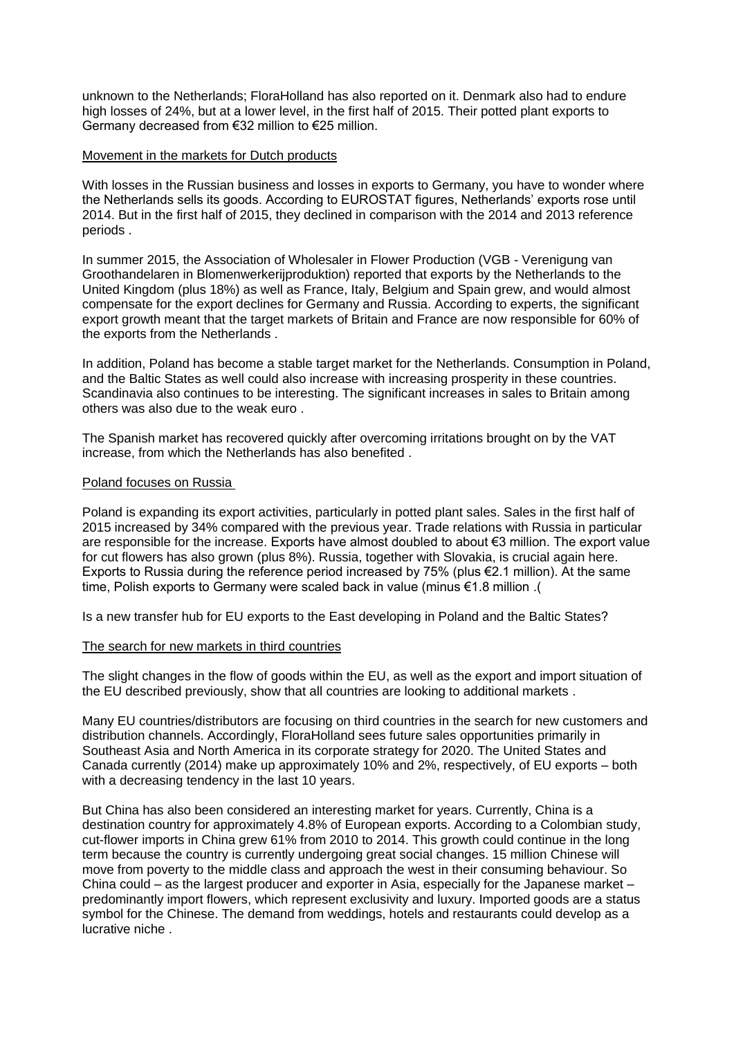unknown to the Netherlands; FloraHolland has also reported on it. Denmark also had to endure high losses of 24%, but at a lower level, in the first half of 2015. Their potted plant exports to Germany decreased from €32 million to €25 million.

### Movement in the markets for Dutch products

With losses in the Russian business and losses in exports to Germany, you have to wonder where the Netherlands sells its goods. According to EUROSTAT figures, Netherlands' exports rose until 2014. But in the first half of 2015, they declined in comparison with the 2014 and 2013 reference periods .

In summer 2015, the Association of Wholesaler in Flower Production (VGB - Verenigung van Groothandelaren in Blomenwerkerijproduktion) reported that exports by the Netherlands to the United Kingdom (plus 18%) as well as France, Italy, Belgium and Spain grew, and would almost compensate for the export declines for Germany and Russia. According to experts, the significant export growth meant that the target markets of Britain and France are now responsible for 60% of the exports from the Netherlands .

In addition, Poland has become a stable target market for the Netherlands. Consumption in Poland, and the Baltic States as well could also increase with increasing prosperity in these countries. Scandinavia also continues to be interesting. The significant increases in sales to Britain among others was also due to the weak euro .

The Spanish market has recovered quickly after overcoming irritations brought on by the VAT increase, from which the Netherlands has also benefited .

# Poland focuses on Russia

Poland is expanding its export activities, particularly in potted plant sales. Sales in the first half of 2015 increased by 34% compared with the previous year. Trade relations with Russia in particular are responsible for the increase. Exports have almost doubled to about €3 million. The export value for cut flowers has also grown (plus 8%). Russia, together with Slovakia, is crucial again here. Exports to Russia during the reference period increased by 75% (plus €2.1 million). At the same time, Polish exports to Germany were scaled back in value (minus €1.8 million .)

Is a new transfer hub for EU exports to the East developing in Poland and the Baltic States?

# The search for new markets in third countries

The slight changes in the flow of goods within the EU, as well as the export and import situation of the EU described previously, show that all countries are looking to additional markets .

Many EU countries/distributors are focusing on third countries in the search for new customers and distribution channels. Accordingly, FloraHolland sees future sales opportunities primarily in Southeast Asia and North America in its corporate strategy for 2020. The United States and Canada currently (2014) make up approximately 10% and 2%, respectively, of EU exports – both with a decreasing tendency in the last 10 years.

But China has also been considered an interesting market for years. Currently, China is a destination country for approximately 4.8% of European exports. According to a Colombian study, cut-flower imports in China grew 61% from 2010 to 2014. This growth could continue in the long term because the country is currently undergoing great social changes. 15 million Chinese will move from poverty to the middle class and approach the west in their consuming behaviour. So China could – as the largest producer and exporter in Asia, especially for the Japanese market – predominantly import flowers, which represent exclusivity and luxury. Imported goods are a status symbol for the Chinese. The demand from weddings, hotels and restaurants could develop as a lucrative niche .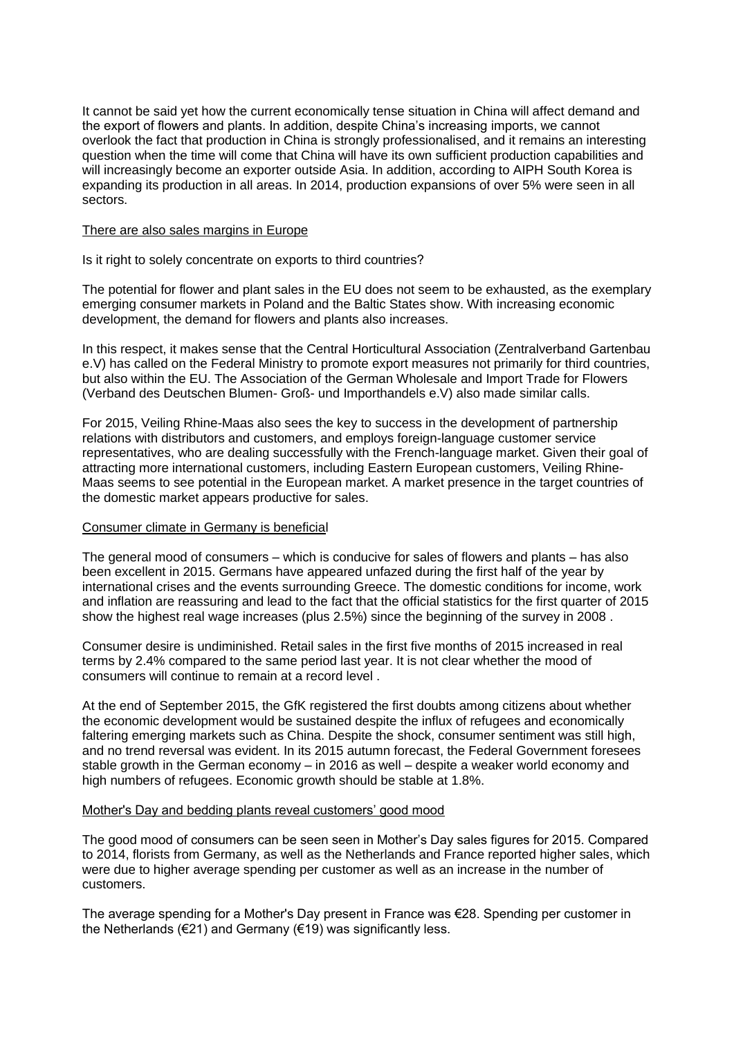It cannot be said yet how the current economically tense situation in China will affect demand and the export of flowers and plants. In addition, despite China's increasing imports, we cannot overlook the fact that production in China is strongly professionalised, and it remains an interesting question when the time will come that China will have its own sufficient production capabilities and will increasingly become an exporter outside Asia. In addition, according to AIPH South Korea is expanding its production in all areas. In 2014, production expansions of over 5% were seen in all sectors.

#### There are also sales margins in Europe

### Is it right to solely concentrate on exports to third countries?

The potential for flower and plant sales in the EU does not seem to be exhausted, as the exemplary emerging consumer markets in Poland and the Baltic States show. With increasing economic development, the demand for flowers and plants also increases.

In this respect, it makes sense that the Central Horticultural Association (Zentralverband Gartenbau e.V) has called on the Federal Ministry to promote export measures not primarily for third countries, but also within the EU. The Association of the German Wholesale and Import Trade for Flowers (Verband des Deutschen Blumen- Groß- und Importhandels e.V) also made similar calls.

For 2015, Veiling Rhine-Maas also sees the key to success in the development of partnership relations with distributors and customers, and employs foreign-language customer service representatives, who are dealing successfully with the French-language market. Given their goal of attracting more international customers, including Eastern European customers, Veiling Rhine-Maas seems to see potential in the European market. A market presence in the target countries of the domestic market appears productive for sales.

# Consumer climate in Germany is beneficial

The general mood of consumers – which is conducive for sales of flowers and plants – has also been excellent in 2015. Germans have appeared unfazed during the first half of the year by international crises and the events surrounding Greece. The domestic conditions for income, work and inflation are reassuring and lead to the fact that the official statistics for the first quarter of 2015 show the highest real wage increases (plus 2.5%) since the beginning of the survey in 2008 .

Consumer desire is undiminished. Retail sales in the first five months of 2015 increased in real terms by 2.4% compared to the same period last year. It is not clear whether the mood of consumers will continue to remain at a record level .

At the end of September 2015, the GfK registered the first doubts among citizens about whether the economic development would be sustained despite the influx of refugees and economically faltering emerging markets such as China. Despite the shock, consumer sentiment was still high, and no trend reversal was evident. In its 2015 autumn forecast, the Federal Government foresees stable growth in the German economy – in 2016 as well – despite a weaker world economy and high numbers of refugees. Economic growth should be stable at 1.8%.

### Mother's Day and bedding plants reveal customers' good mood

The good mood of consumers can be seen seen in Mother's Day sales figures for 2015. Compared to 2014, florists from Germany, as well as the Netherlands and France reported higher sales, which were due to higher average spending per customer as well as an increase in the number of customers.

The average spending for a Mother's Day present in France was €28. Spending per customer in the Netherlands ( $\epsilon$ 21) and Germany ( $\epsilon$ 19) was significantly less.